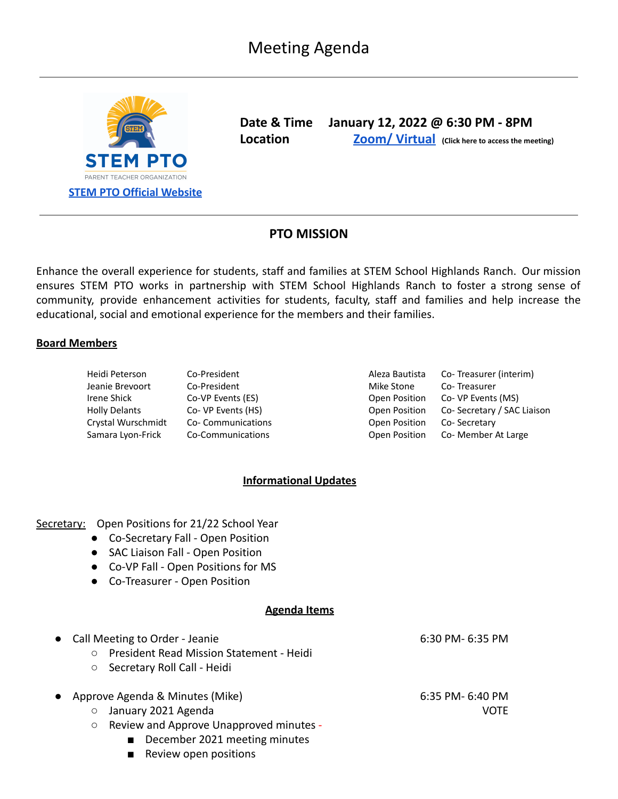

**Date & Time January 12, 2022 @ 6:30 PM - 8PM Location Zoom/ [Virtual](https://zoom.us/s/92379460413) (Click here to access the meeting)**

# **PTO MISSION**

Enhance the overall experience for students, staff and families at STEM School Highlands Ranch. Our mission ensures STEM PTO works in partnership with STEM School Highlands Ranch to foster a strong sense of community, provide enhancement activities for students, faculty, staff and families and help increase the educational, social and emotional experience for the members and their families.

#### **Board Members**

| Heidi Peterson       | Co-President       | Aleza Bautista | Co-Treasurer (interim)     |
|----------------------|--------------------|----------------|----------------------------|
| Jeanie Brevoort      | Co-President       | Mike Stone     | Co-Treasurer               |
| Irene Shick          | Co-VP Events (ES)  | Open Position  | Co- VP Events (MS)         |
| <b>Holly Delants</b> | Co- VP Events (HS) | Open Position  | Co-Secretary / SAC Liaison |
| Crystal Wurschmidt   | Co-Communications  | Open Position  | Co-Secretary               |
| Samara Lyon-Frick    | Co-Communications  | Open Position  | Co- Member At Large        |

## **Informational Updates**

### Secretary: Open Positions for 21/22 School Year

- Co-Secretary Fall Open Position
- SAC Liaison Fall Open Position
- Co-VP Fall Open Positions for MS
- Co-Treasurer Open Position

### **Agenda Items**

|           | • Call Meeting to Order - Jeanie<br>President Read Mission Statement - Heidi<br>$\circ$<br>Secretary Roll Call - Heidi<br>$\circ$ | 6:30 PM- 6:35 PM                    |
|-----------|-----------------------------------------------------------------------------------------------------------------------------------|-------------------------------------|
| $\bullet$ | Approve Agenda & Minutes (Mike)<br>January 2021 Agenda<br>$\circ$                                                                 | $6:35$ PM- $6:40$ PM<br><b>VOTF</b> |
|           | Review and Approve Unapproved minutes -<br>$\circ$<br>December 2021 meeting minutes                                               |                                     |

■ Review open positions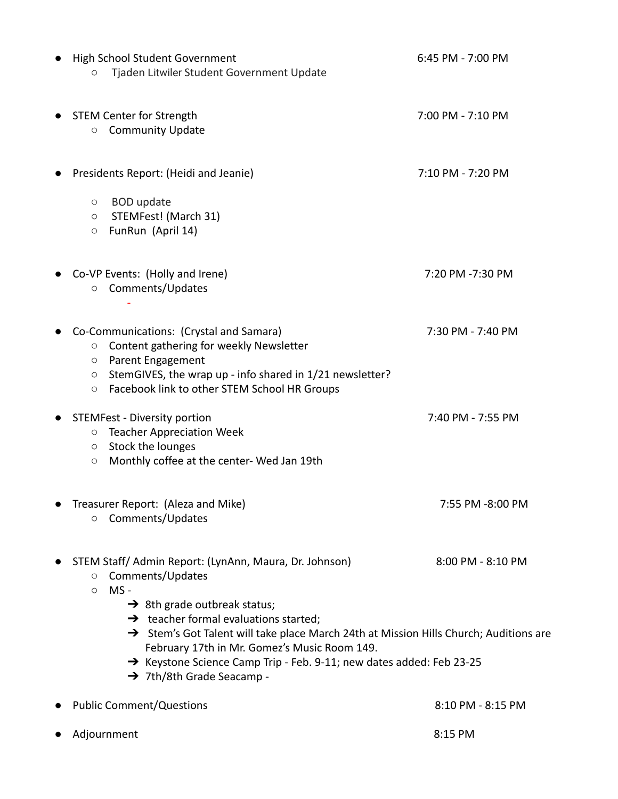| High School Student Government                                                                                                                                                                                                                                                                                                                                                                                                                      | 6:45 PM - 7:00 PM |
|-----------------------------------------------------------------------------------------------------------------------------------------------------------------------------------------------------------------------------------------------------------------------------------------------------------------------------------------------------------------------------------------------------------------------------------------------------|-------------------|
| Tjaden Litwiler Student Government Update<br>О                                                                                                                                                                                                                                                                                                                                                                                                      |                   |
| <b>STEM Center for Strength</b><br><b>Community Update</b><br>$\circ$                                                                                                                                                                                                                                                                                                                                                                               | 7:00 PM - 7:10 PM |
| Presidents Report: (Heidi and Jeanie)                                                                                                                                                                                                                                                                                                                                                                                                               | 7:10 PM - 7:20 PM |
| <b>BOD</b> update<br>O<br>STEMFest! (March 31)<br>$\bigcirc$<br>FunRun (April 14)<br>$\bigcirc$                                                                                                                                                                                                                                                                                                                                                     |                   |
| Co-VP Events: (Holly and Irene)<br>Comments/Updates<br>$\circ$                                                                                                                                                                                                                                                                                                                                                                                      | 7:20 PM -7:30 PM  |
| Co-Communications: (Crystal and Samara)<br>Content gathering for weekly Newsletter<br>$\circ$<br>Parent Engagement<br>O<br>StemGIVES, the wrap up - info shared in 1/21 newsletter?<br>O<br>Facebook link to other STEM School HR Groups<br>O                                                                                                                                                                                                       | 7:30 PM - 7:40 PM |
| <b>STEMFest - Diversity portion</b><br><b>Teacher Appreciation Week</b><br>O<br>Stock the lounges<br>O<br>Monthly coffee at the center- Wed Jan 19th<br>O                                                                                                                                                                                                                                                                                           | 7:40 PM - 7:55 PM |
| Treasurer Report: (Aleza and Mike)<br>Comments/Updates<br>$\circ$                                                                                                                                                                                                                                                                                                                                                                                   | 7:55 PM -8:00 PM  |
| STEM Staff/ Admin Report: (LynAnn, Maura, Dr. Johnson)<br>Comments/Updates<br>О<br>$MS -$<br>$\circ$<br>$\rightarrow$ 8th grade outbreak status;<br>$\rightarrow$ teacher formal evaluations started;<br>→ Stem's Got Talent will take place March 24th at Mission Hills Church; Auditions are<br>February 17th in Mr. Gomez's Music Room 149.<br>→ Keystone Science Camp Trip - Feb. 9-11; new dates added: Feb 23-25<br>→ 7th/8th Grade Seacamp - | 8:00 PM - 8:10 PM |
| <b>Public Comment/Questions</b>                                                                                                                                                                                                                                                                                                                                                                                                                     | 8:10 PM - 8:15 PM |
| Adjournment                                                                                                                                                                                                                                                                                                                                                                                                                                         | 8:15 PM           |